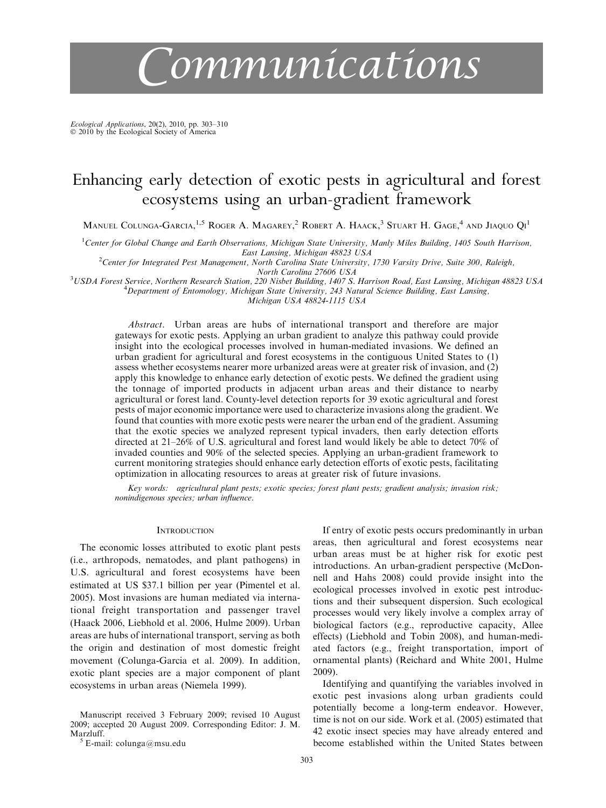# Communications

Ecological Applications, 20(2), 2010, pp. 303–310<br>© 2010 by the Ecological Society of America

# Enhancing early detection of exotic pests in agricultural and forest ecosystems using an urban-gradient framework

Manuel Colunga-Garcia, <sup>1,5</sup> Roger A. Magarey, <sup>2</sup> Robert A. Haack,  $^3$  Stuart H. Gage,  $^4$  and Jiaquo Qi<sup>1</sup>

<sup>1</sup>Center for Global Change and Earth Observations, Michigan State University, Manly Miles Building, 1405 South Harrison,

East Lansing, Michigan 48823 USA<br>Center for Integrated Pest Management, North Carolina State University, 1730 Varsity Drive, Suite 300, Raleigh,

North Carolina 27606 USA<br><sup>3</sup>USD 4 Forest Service, Northern Research Station, 220 Nishet Building, 1407 S. USDA Forest Service, Northern Research Station, 220 Nisbet Building, 1407 S. Harrison Road, East Lansing, Michigan 48823 USA <sup>4</sup>  $^{4}$ Department of Entomology, Michigan State University, 243 Natural Science Building, East Lansing,

Michigan USA 48824-1115 USA

Abstract. Urban areas are hubs of international transport and therefore are major gateways for exotic pests. Applying an urban gradient to analyze this pathway could provide insight into the ecological processes involved in human-mediated invasions. We defined an urban gradient for agricultural and forest ecosystems in the contiguous United States to (1) assess whether ecosystems nearer more urbanized areas were at greater risk of invasion, and (2) apply this knowledge to enhance early detection of exotic pests. We defined the gradient using the tonnage of imported products in adjacent urban areas and their distance to nearby agricultural or forest land. County-level detection reports for 39 exotic agricultural and forest pests of major economic importance were used to characterize invasions along the gradient. We found that counties with more exotic pests were nearer the urban end of the gradient. Assuming that the exotic species we analyzed represent typical invaders, then early detection efforts directed at 21–26% of U.S. agricultural and forest land would likely be able to detect 70% of invaded counties and 90% of the selected species. Applying an urban-gradient framework to current monitoring strategies should enhance early detection efforts of exotic pests, facilitating optimization in allocating resources to areas at greater risk of future invasions.

Key words: agricultural plant pests; exotic species; forest plant pests; gradient analysis; invasion risk; nonindigenous species; urban influence.

#### **INTRODUCTION**

The economic losses attributed to exotic plant pests (i.e., arthropods, nematodes, and plant pathogens) in U.S. agricultural and forest ecosystems have been estimated at US \$37.1 billion per year (Pimentel et al. 2005). Most invasions are human mediated via international freight transportation and passenger travel (Haack 2006, Liebhold et al. 2006, Hulme 2009). Urban areas are hubs of international transport, serving as both the origin and destination of most domestic freight movement (Colunga-Garcia et al. 2009). In addition, exotic plant species are a major component of plant ecosystems in urban areas (Niemela 1999).

Manuscript received 3 February 2009; revised 10 August 2009; accepted 20 August 2009. Corresponding Editor: J. M.

 $<sup>5</sup>$  E-mail: colunga@msu.edu</sup>

If entry of exotic pests occurs predominantly in urban areas, then agricultural and forest ecosystems near urban areas must be at higher risk for exotic pest introductions. An urban-gradient perspective (McDonnell and Hahs 2008) could provide insight into the ecological processes involved in exotic pest introductions and their subsequent dispersion. Such ecological processes would very likely involve a complex array of biological factors (e.g., reproductive capacity, Allee effects) (Liebhold and Tobin 2008), and human-mediated factors (e.g., freight transportation, import of ornamental plants) (Reichard and White 2001, Hulme 2009).

Identifying and quantifying the variables involved in exotic pest invasions along urban gradients could potentially become a long-term endeavor. However, time is not on our side. Work et al. (2005) estimated that 42 exotic insect species may have already entered and become established within the United States between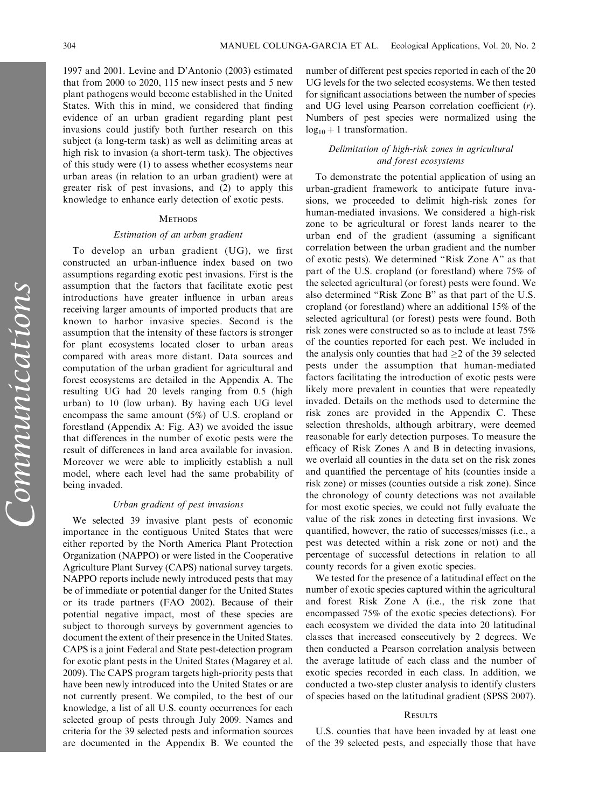1997 and 2001. Levine and D'Antonio (2003) estimated that from 2000 to 2020, 115 new insect pests and 5 new plant pathogens would become established in the United States. With this in mind, we considered that finding evidence of an urban gradient regarding plant pest invasions could justify both further research on this subject (a long-term task) as well as delimiting areas at high risk to invasion (a short-term task). The objectives of this study were (1) to assess whether ecosystems near urban areas (in relation to an urban gradient) were at greater risk of pest invasions, and (2) to apply this knowledge to enhance early detection of exotic pests.

# **METHODS**

#### Estimation of an urban gradient

To develop an urban gradient (UG), we first constructed an urban-influence index based on two assumptions regarding exotic pest invasions. First is the assumption that the factors that facilitate exotic pest introductions have greater influence in urban areas receiving larger amounts of imported products that are known to harbor invasive species. Second is the assumption that the intensity of these factors is stronger for plant ecosystems located closer to urban areas compared with areas more distant. Data sources and computation of the urban gradient for agricultural and forest ecosystems are detailed in the Appendix A. The resulting UG had 20 levels ranging from 0.5 (high urban) to 10 (low urban). By having each UG level encompass the same amount (5%) of U.S. cropland or forestland (Appendix A: Fig. A3) we avoided the issue that differences in the number of exotic pests were the result of differences in land area available for invasion. Moreover we were able to implicitly establish a null model, where each level had the same probability of being invaded.

#### Urban gradient of pest invasions

We selected 39 invasive plant pests of economic importance in the contiguous United States that were either reported by the North America Plant Protection Organization (NAPPO) or were listed in the Cooperative Agriculture Plant Survey (CAPS) national survey targets. NAPPO reports include newly introduced pests that may be of immediate or potential danger for the United States or its trade partners (FAO 2002). Because of their potential negative impact, most of these species are subject to thorough surveys by government agencies to document the extent of their presence in the United States. CAPS is a joint Federal and State pest-detection program for exotic plant pests in the United States (Magarey et al. 2009). The CAPS program targets high-priority pests that have been newly introduced into the United States or are not currently present. We compiled, to the best of our knowledge, a list of all U.S. county occurrences for each selected group of pests through July 2009. Names and criteria for the 39 selected pests and information sources are documented in the Appendix B. We counted the number of different pest species reported in each of the 20 UG levels for the two selected ecosystems. We then tested for significant associations between the number of species and UG level using Pearson correlation coefficient (r). Numbers of pest species were normalized using the  $log_{10} + 1$  transformation.

# Delimitation of high-risk zones in agricultural and forest ecosystems

To demonstrate the potential application of using an urban-gradient framework to anticipate future invasions, we proceeded to delimit high-risk zones for human-mediated invasions. We considered a high-risk zone to be agricultural or forest lands nearer to the urban end of the gradient (assuming a significant correlation between the urban gradient and the number of exotic pests). We determined ''Risk Zone A'' as that part of the U.S. cropland (or forestland) where 75% of the selected agricultural (or forest) pests were found. We also determined ''Risk Zone B'' as that part of the U.S. cropland (or forestland) where an additional 15% of the selected agricultural (or forest) pests were found. Both risk zones were constructed so as to include at least 75% of the counties reported for each pest. We included in the analysis only counties that had  $\geq 2$  of the 39 selected pests under the assumption that human-mediated factors facilitating the introduction of exotic pests were likely more prevalent in counties that were repeatedly invaded. Details on the methods used to determine the risk zones are provided in the Appendix C. These selection thresholds, although arbitrary, were deemed reasonable for early detection purposes. To measure the efficacy of Risk Zones A and B in detecting invasions, we overlaid all counties in the data set on the risk zones and quantified the percentage of hits (counties inside a risk zone) or misses (counties outside a risk zone). Since the chronology of county detections was not available for most exotic species, we could not fully evaluate the value of the risk zones in detecting first invasions. We quantified, however, the ratio of successes/misses (i.e., a pest was detected within a risk zone or not) and the percentage of successful detections in relation to all county records for a given exotic species.

We tested for the presence of a latitudinal effect on the number of exotic species captured within the agricultural and forest Risk Zone A (i.e., the risk zone that encompassed 75% of the exotic species detections). For each ecosystem we divided the data into 20 latitudinal classes that increased consecutively by 2 degrees. We then conducted a Pearson correlation analysis between the average latitude of each class and the number of exotic species recorded in each class. In addition, we conducted a two-step cluster analysis to identify clusters of species based on the latitudinal gradient (SPSS 2007).

#### **RESULTS**

U.S. counties that have been invaded by at least one of the 39 selected pests, and especially those that have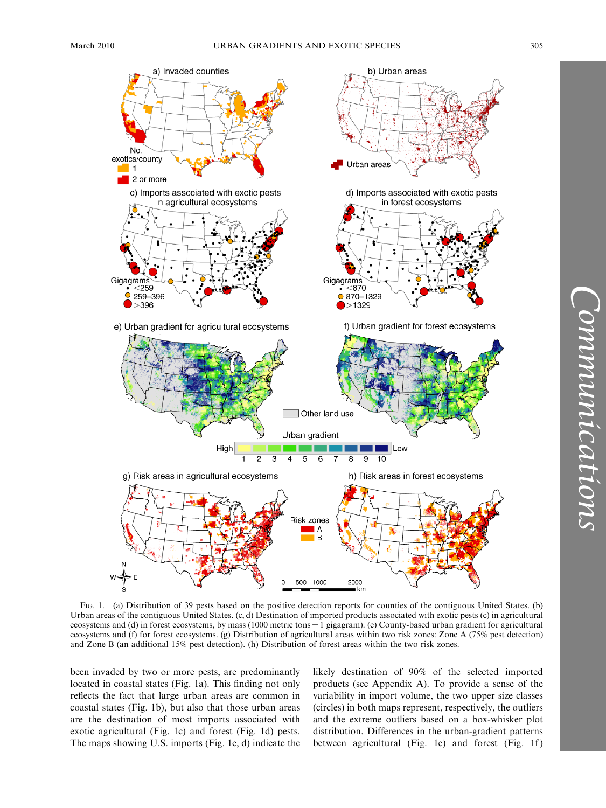

FIG. 1. (a) Distribution of 39 pests based on the positive detection reports for counties of the contiguous United States. (b) Urban areas of the contiguous United States. (c, d) Destination of imported products associated with exotic pests (c) in agricultural ecosystems and (d) in forest ecosystems, by mass  $(1000 \text{ metric tons} = 1 \text{ gigagram})$ . (e) County-based urban gradient for agricultural ecosystems and (f) for forest ecosystems. (g) Distribution of agricultural areas within two risk zones: Zone A (75% pest detection) and Zone B (an additional 15% pest detection). (h) Distribution of forest areas within the two risk zones.

been invaded by two or more pests, are predominantly located in coastal states (Fig. 1a). This finding not only reflects the fact that large urban areas are common in coastal states (Fig. 1b), but also that those urban areas are the destination of most imports associated with exotic agricultural (Fig. 1c) and forest (Fig. 1d) pests. The maps showing U.S. imports (Fig. 1c, d) indicate the likely destination of 90% of the selected imported products (see Appendix A). To provide a sense of the variability in import volume, the two upper size classes (circles) in both maps represent, respectively, the outliers and the extreme outliers based on a box-whisker plot distribution. Differences in the urban-gradient patterns between agricultural (Fig. 1e) and forest (Fig. 1f)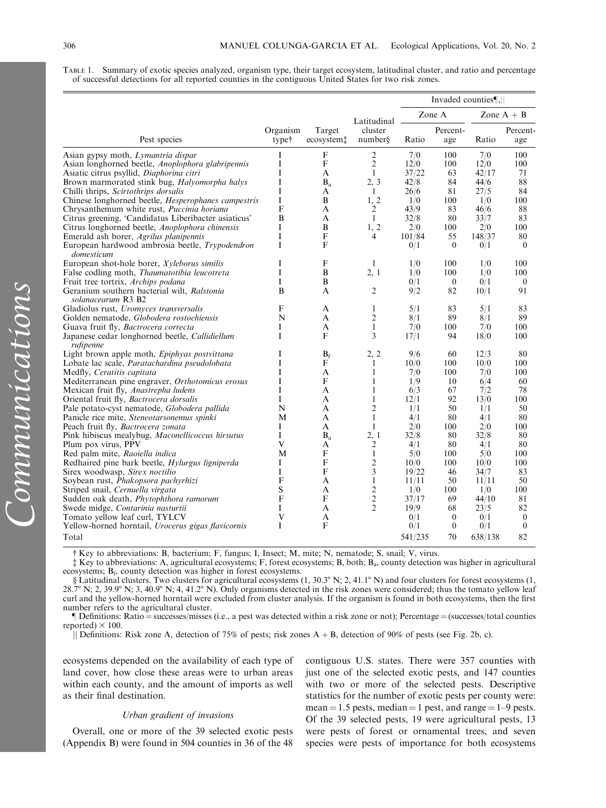TABLE 1. Summary of exotic species analyzed, organism type, their target ecosystem, latitudinal cluster, and ratio and percentage of successful detections for all reported counties in the contiguous United States for two risk zones.

|                                                                   |                   |                         |                    | Invaded counties¶, |                 |              |                 |
|-------------------------------------------------------------------|-------------------|-------------------------|--------------------|--------------------|-----------------|--------------|-----------------|
|                                                                   |                   |                         | Latitudinal        | Zone A             |                 | Zone $A + B$ |                 |
| Pest species                                                      | Organism<br>typet | Target<br>$ecosystem$ : | cluster<br>number§ | Ratio              | Percent-<br>age | Ratio        | Percent-<br>age |
| Asian gypsy moth, Lymantria dispar                                | I                 | $\mathbf{F}$            | $\mathfrak{2}$     | 7/0                | 100             | 7/0          | 100             |
| Asian longhorned beetle, Anoplophora glabripennis                 | I                 | $\mathbf F$             | $\mathfrak{2}$     | 12/0               | 100             | 12/0         | 100             |
| Asiatic citrus psyllid, Diaphorina citri                          | I                 | A                       | $\mathbf{1}$       | 37/22              | 63              | 42/17        | 71              |
| Brown marmorated stink bug, Halyomorpha halys                     | Ī                 | B <sub>a</sub>          | 2, 3               | 42/8               | 84              | 44/6         | 88              |
| Chilli thrips, Scirtothrips dorsalis                              | I                 | A                       | 1                  | 26/6               | 81              | 27/5         | 84              |
| Chinese longhorned beetle, Hesperophanes campestris               | I                 | B                       | 1, 2               | 1/0                | 100             | 1/0          | 100             |
| Chrysanthemum white rust, Puccinia horiana                        | F                 | А                       | 2                  | 43/9               | 83              | 46/6         | 88              |
| Citrus greening, 'Candidatus Liberibacter asiaticus'              | B                 | A                       | 1                  | 32/8               | 80              | 33/7         | 83              |
| Citrus longhorned beetle, Anoplophora chinensis                   | I                 | B                       | 1, 2               | 2/0                | 100             | 2/0          | 100             |
| Emerald ash borer, Agrilus planipennis                            | I                 | $\mathbf F$             | 4                  | 101/84             | 55              | 148/37       | 80              |
| European hardwood ambrosia beetle, Trypodendron<br>domesticum     | T                 | F                       |                    | 0/1                | $\theta$        | 0/1          | $\theta$        |
| European shot-hole borer, <i>Xyleborus similis</i>                | I                 | F                       | $\mathbf{1}$       | 1/0                | 100             | 1/0          | 100             |
| False codling moth, Thaumatotibia leucotreta                      | I                 | B                       | 2,1                | 1/0                | 100             | 1/0          | 100             |
| Fruit tree tortrix, Archips podana                                | I                 | B                       |                    | 0/1                | $\mathbf{0}$    | 0/1          | $\mathbf{0}$    |
| Geranium southern bacterial wilt, Ralstonia<br>solanacearum R3 B2 | B                 | A                       | 2                  | 9/2                | 82              | 10/1         | 91              |
| Gladiolus rust, <i>Uromyces transversalis</i>                     | F                 | A                       | 1                  | 5/1                | 83              | 5/1          | 83              |
| Golden nematode, Globodera rostochiensis                          | N                 | A                       | $\mathfrak{2}$     | 8/1                | 89              | 8/1          | 89              |
| Guava fruit fly, Bactrocera correcta                              | I                 | A                       | $\mathbf{1}$       | 7/0                | 100             | 7/0          | 100             |
| Japanese cedar longhorned beetle, Callidiellum<br>rufipenne       | I                 | F                       | 3                  | 17/1               | 94              | 18/0         | 100             |
| Light brown apple moth, Epiphyas postvittana                      | I                 | $B_f$                   | 2, 2               | 9/6                | 60              | 12/3         | 80              |
| Lobate lac scale, Paratachardina pseudolobata                     | I                 | F                       | 1                  | 10/0               | 100             | 10/0         | 100             |
| Medfly, Ceratitis capitata                                        | I                 | А                       | $\mathbf{1}$       | 7/0                | 100             | 7/0          | 100             |
| Mediterranean pine engraver, Orthotomicus erosus                  | I                 | F                       | 1                  | 1/9                | 10              | 6/4          | 60              |
| Mexican fruit fly, Anastrepha ludens                              | I                 | A                       | 1                  | 6/3                | 67              | 7/2          | 78              |
| Oriental fruit fly, Bactrocera dorsalis                           | I                 | A                       | 1                  | 12/1               | 92              | 13/0         | 100             |
| Pale potato-cyst nematode, Globodera pallida                      | N                 | A                       | 2                  | 1/1                | 50              | 1/1          | 50              |
| Panicle rice mite, Steneotarsonemus spinki                        | М                 | A                       | 1                  | 4/1                | 80              | 4/1          | 80              |
| Peach fruit fly, Bactrocera zonata                                | Ι                 | A                       | $\mathbf{1}$       | 2/0                | 100             | 2/0          | 100             |
| Pink hibiscus mealybug, Maconellicoccus hirsutus                  | Ι                 | B <sub>a</sub>          | 2, 1               | 32/8               | 80              | 32/8         | 80              |
| Plum pox virus, PPV                                               | V                 | A                       | $\mathfrak{2}$     | 4/1                | 80              | 4/1          | 80              |
| Red palm mite, Raoiella indica                                    | M                 | F                       | $\mathbf{1}$       | 5/0                | 100             | 5/0          | 100             |
| Redhaired pine bark beetle, Hylurgus ligniperda                   | I                 | F                       | $\overline{c}$     | 10/0               | 100             | 10/0         | 100             |
| Sirex woodwasp, Sirex noctilio                                    | L                 | F                       | 3                  | 19/22              | 46              | 34/7         | 83              |
| Soybean rust, Phakopsora pachyrhizi                               | F                 | A                       | $\mathbf{1}$       | 11/11              | 50              | 11/11        | 50              |
| Striped snail, Cernuella virgata                                  | S                 | А                       | $\mathfrak{2}$     | 1/0                | 100             | 1/0          | 100             |
| Sudden oak death, Phytophthora ramorum                            | F                 | F                       | $\overline{c}$     | 37/17              | 69              | 44/10        | 81              |
| Swede midge, Contarinia nasturtii                                 | L                 | A                       | $\overline{2}$     | 19/9               | 68              | 23/5         | 82              |
| Tomato yellow leaf curl, TYLCV                                    | V                 | A                       |                    | 0/1                | $\mathbf{0}$    | 0/1          | $\mathbf{0}$    |
| Yellow-horned horntail, Urocerus gigas flavicornis                | I                 | F                       |                    | 0/1                | $\mathbf{0}$    | 0/1          | $\mathbf{0}$    |
| Total                                                             |                   |                         |                    | 541/235            | 70              | 638/138      | 82              |

- Key to abbreviations: B, bacterium; F, fungus; I, Insect; M, mite; N, nematode; S, snail; V, virus.

 $\ddagger$  Key to abbreviations: A, agricultural ecosystems; F, forest ecosystems; B, both; B<sub>a</sub>, county detection was higher in agricultural ecosystems; B<sub>f</sub>, county detection was higher in forest ecosystems.

§ Latitudinal clusters. Two clusters for agricultural ecosystems (1, 30.3° N; 2, 41.1° N) and four clusters for forest ecosystems (1,  $28.7^\circ$  N; 2, 39.9° N; 3, 40.9° N; 4, 41.2° N). Only organisms detected in the risk zones were considered; thus the tomato yellow leaf curl and the yellow-horned horntail were excluded from cluster analysis. If the organism is found in both ecosystems, then the first number refers to the agricultural cluster.

 $\blacksquare$  Definitions: Ratio = successes/misses (i.e., a pest was detected within a risk zone or not); Percentage = (successes/total counties reported)  $\times$  100.

|| Definitions: Risk zone A, detection of 75% of pests; risk zones  $A + B$ , detection of 90% of pests (see Fig. 2b, c).

ecosystems depended on the availability of each type of land cover, how close these areas were to urban areas within each county, and the amount of imports as well as their final destination.

#### Urban gradient of invasions

Overall, one or more of the 39 selected exotic pests (Appendix B) were found in 504 counties in 36 of the 48

contiguous U.S. states. There were 357 counties with just one of the selected exotic pests, and 147 counties with two or more of the selected pests. Descriptive statistics for the number of exotic pests per county were: mean = 1.5 pests, median = 1 pest, and range =  $1-9$  pests. Of the 39 selected pests, 19 were agricultural pests, 13 were pests of forest or ornamental trees, and seven species were pests of importance for both ecosystems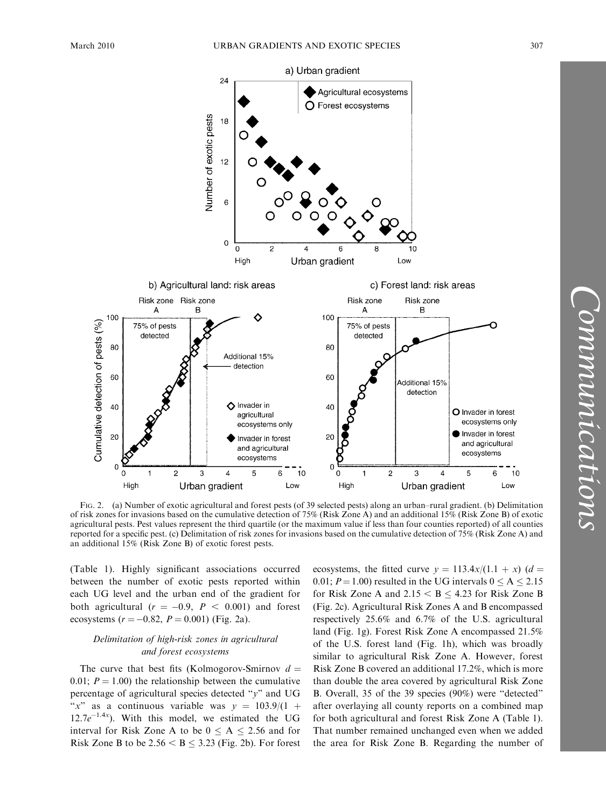

FIG. 2. (a) Number of exotic agricultural and forest pests (of 39 selected pests) along an urban–rural gradient. (b) Delimitation of risk zones for invasions based on the cumulative detection of 75% (Risk Zone A) and an additional 15% (Risk Zone B) of exotic agricultural pests. Pest values represent the third quartile (or the maximum value if less than four counties reported) of all counties reported for a specific pest. (c) Delimitation of risk zones for invasions based on the cumulative detection of 75% (Risk Zone A) and an additional 15% (Risk Zone B) of exotic forest pests.

(Table 1). Highly significant associations occurred between the number of exotic pests reported within each UG level and the urban end of the gradient for both agricultural  $(r = -0.9, P < 0.001)$  and forest ecosystems  $(r = -0.82, P = 0.001)$  (Fig. 2a).

# Delimitation of high-risk zones in agricultural and forest ecosystems

The curve that best fits (Kolmogorov-Smirnov  $d =$ 0.01;  $P = 1.00$ ) the relationship between the cumulative percentage of agricultural species detected ''y'' and UG "x" as a continuous variable was  $y = \frac{103.9}{1 + \frac{100}{9}}$ 12.7 $e^{-1.4x}$ ). With this model, we estimated the UG interval for Risk Zone A to be  $0 \le A \le 2.56$  and for Risk Zone B to be  $2.56 < B \le 3.23$  (Fig. 2b). For forest ecosystems, the fitted curve  $y = 113.4x/(1.1 + x)$  (d = 0.01;  $P = 1.00$ ) resulted in the UG intervals  $0 < A < 2.15$ for Risk Zone A and  $2.15 < B \le 4.23$  for Risk Zone B (Fig. 2c). Agricultural Risk Zones A and B encompassed respectively 25.6% and 6.7% of the U.S. agricultural land (Fig. 1g). Forest Risk Zone A encompassed 21.5% of the U.S. forest land (Fig. 1h), which was broadly similar to agricultural Risk Zone A. However, forest Risk Zone B covered an additional 17.2%, which is more than double the area covered by agricultural Risk Zone B. Overall, 35 of the 39 species (90%) were ''detected'' after overlaying all county reports on a combined map for both agricultural and forest Risk Zone A (Table 1). That number remained unchanged even when we added the area for Risk Zone B. Regarding the number of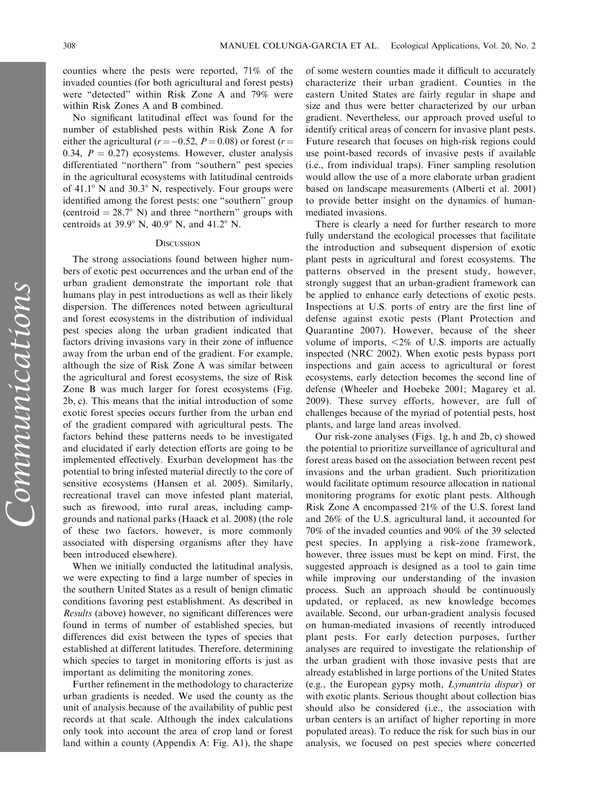counties where the pests were reported, 71% of the invaded counties (for both agricultural and forest pests) were ''detected'' within Risk Zone A and 79% were within Risk Zones A and B combined.

No significant latitudinal effect was found for the number of established pests within Risk Zone A for either the agricultural ( $r = -0.52$ ,  $P = 0.08$ ) or forest ( $r =$ 0.34,  $P = 0.27$ ) ecosystems. However, cluster analysis differentiated ''northern'' from ''southern'' pest species in the agricultural ecosystems with latitudinal centroids of  $41.1^\circ$  N and  $30.3^\circ$  N, respectively. Four groups were identified among the forest pests: one ''southern'' group (centroid  $= 28.7^\circ$  N) and three "northern" groups with centroids at 39.9 $^{\circ}$  N, 40.9 $^{\circ}$  N, and 41.2 $^{\circ}$  N.

#### **DISCUSSION**

The strong associations found between higher numbers of exotic pest occurrences and the urban end of the urban gradient demonstrate the important role that humans play in pest introductions as well as their likely dispersion. The differences noted between agricultural and forest ecosystems in the distribution of individual pest species along the urban gradient indicated that factors driving invasions vary in their zone of influence away from the urban end of the gradient. For example, although the size of Risk Zone A was similar between the agricultural and forest ecosystems, the size of Risk Zone B was much larger for forest ecosystems (Fig. 2b, c). This means that the initial introduction of some exotic forest species occurs further from the urban end of the gradient compared with agricultural pests. The factors behind these patterns needs to be investigated and elucidated if early detection efforts are going to be implemented effectively. Exurban development has the potential to bring infested material directly to the core of sensitive ecosystems (Hansen et al. 2005). Similarly, recreational travel can move infested plant material, such as firewood, into rural areas, including campgrounds and national parks (Haack et al. 2008) (the role of these two factors, however, is more commonly associated with dispersing organisms after they have been introduced elsewhere).

When we initially conducted the latitudinal analysis, we were expecting to find a large number of species in the southern United States as a result of benign climatic conditions favoring pest establishment. As described in Results (above) however, no significant differences were found in terms of number of established species, but differences did exist between the types of species that established at different latitudes. Therefore, determining which species to target in monitoring efforts is just as important as delimiting the monitoring zones.

Further refinement in the methodology to characterize urban gradients is needed. We used the county as the unit of analysis because of the availability of public pest records at that scale. Although the index calculations only took into account the area of crop land or forest land within a county (Appendix A: Fig. A1), the shape

of some western counties made it difficult to accurately characterize their urban gradient. Counties in the eastern United States are fairly regular in shape and size and thus were better characterized by our urban gradient. Nevertheless, our approach proved useful to identify critical areas of concern for invasive plant pests. Future research that focuses on high-risk regions could use point-based records of invasive pests if available (i.e., from individual traps). Finer sampling resolution would allow the use of a more elaborate urban gradient based on landscape measurements (Alberti et al. 2001) to provide better insight on the dynamics of humanmediated invasions.

There is clearly a need for further research to more fully understand the ecological processes that facilitate the introduction and subsequent dispersion of exotic plant pests in agricultural and forest ecosystems. The patterns observed in the present study, however, strongly suggest that an urban-gradient framework can be applied to enhance early detections of exotic pests. Inspections at U.S. ports of entry are the first line of defense against exotic pests (Plant Protection and Quarantine 2007). However, because of the sheer volume of imports,  $\langle 2\% \rangle$  of U.S. imports are actually inspected (NRC 2002). When exotic pests bypass port inspections and gain access to agricultural or forest ecosystems, early detection becomes the second line of defense (Wheeler and Hoebeke 2001; Magarey et al. 2009). These survey efforts, however, are full of challenges because of the myriad of potential pests, host plants, and large land areas involved.

Our risk-zone analyses (Figs. 1g, h and 2b, c) showed the potential to prioritize surveillance of agricultural and forest areas based on the association between recent pest invasions and the urban gradient. Such prioritization would facilitate optimum resource allocation in national monitoring programs for exotic plant pests. Although Risk Zone A encompassed 21% of the U.S. forest land and 26% of the U.S. agricultural land, it accounted for 70% of the invaded counties and 90% of the 39 selected pest species. In applying a risk-zone framework, however, three issues must be kept on mind. First, the suggested approach is designed as a tool to gain time while improving our understanding of the invasion process. Such an approach should be continuously updated, or replaced, as new knowledge becomes available. Second, our urban-gradient analysis focused on human-mediated invasions of recently introduced plant pests. For early detection purposes, further analyses are required to investigate the relationship of the urban gradient with those invasive pests that are already established in large portions of the United States (e.g., the European gypsy moth, Lymantria dispar) or with exotic plants. Serious thought about collection bias should also be considered (i.e., the association with urban centers is an artifact of higher reporting in more populated areas). To reduce the risk for such bias in our analysis, we focused on pest species where concerted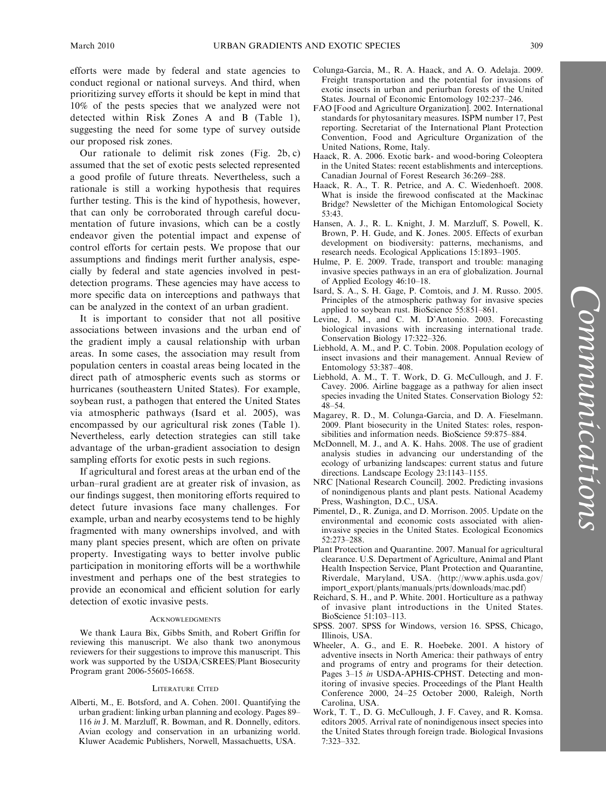efforts were made by federal and state agencies to conduct regional or national surveys. And third, when prioritizing survey efforts it should be kept in mind that 10% of the pests species that we analyzed were not detected within Risk Zones A and B (Table 1), suggesting the need for some type of survey outside our proposed risk zones.

Our rationale to delimit risk zones (Fig. 2b, c) assumed that the set of exotic pests selected represented a good profile of future threats. Nevertheless, such a rationale is still a working hypothesis that requires further testing. This is the kind of hypothesis, however, that can only be corroborated through careful documentation of future invasions, which can be a costly endeavor given the potential impact and expense of control efforts for certain pests. We propose that our assumptions and findings merit further analysis, especially by federal and state agencies involved in pestdetection programs. These agencies may have access to more specific data on interceptions and pathways that can be analyzed in the context of an urban gradient.

It is important to consider that not all positive associations between invasions and the urban end of the gradient imply a causal relationship with urban areas. In some cases, the association may result from population centers in coastal areas being located in the direct path of atmospheric events such as storms or hurricanes (southeastern United States). For example, soybean rust, a pathogen that entered the United States via atmospheric pathways (Isard et al. 2005), was encompassed by our agricultural risk zones (Table 1). Nevertheless, early detection strategies can still take advantage of the urban-gradient association to design sampling efforts for exotic pests in such regions.

If agricultural and forest areas at the urban end of the urban–rural gradient are at greater risk of invasion, as our findings suggest, then monitoring efforts required to detect future invasions face many challenges. For example, urban and nearby ecosystems tend to be highly fragmented with many ownerships involved, and with many plant species present, which are often on private property. Investigating ways to better involve public participation in monitoring efforts will be a worthwhile investment and perhaps one of the best strategies to provide an economical and efficient solution for early detection of exotic invasive pests.

#### **ACKNOWLEDGMENTS**

We thank Laura Bix, Gibbs Smith, and Robert Griffin for reviewing this manuscript. We also thank two anonymous reviewers for their suggestions to improve this manuscript. This work was supported by the USDA/CSREES/Plant Biosecurity Program grant 2006-55605-16658.

#### LITERATURE CITED

Alberti, M., E. Botsford, and A. Cohen. 2001. Quantifying the urban gradient: linking urban planning and ecology. Pages 89– 116 in J. M. Marzluff, R. Bowman, and R. Donnelly, editors. Avian ecology and conservation in an urbanizing world. Kluwer Academic Publishers, Norwell, Massachuetts, USA.

- Colunga-Garcia, M., R. A. Haack, and A. O. Adelaja. 2009. Freight transportation and the potential for invasions of exotic insects in urban and periurban forests of the United States. Journal of Economic Entomology 102:237–246.
- FAO [Food and Agriculture Organization]. 2002. International standards for phytosanitary measures. ISPM number 17, Pest reporting. Secretariat of the International Plant Protection Convention, Food and Agriculture Organization of the United Nations, Rome, Italy.
- Haack, R. A. 2006. Exotic bark- and wood-boring Coleoptera in the United States: recent establishments and interceptions. Canadian Journal of Forest Research 36:269–288.
- Haack, R. A., T. R. Petrice, and A. C. Wiedenhoeft. 2008. What is inside the firewood confiscated at the Mackinac Bridge? Newsletter of the Michigan Entomological Society 53:43.
- Hansen, A. J., R. L. Knight, J. M. Marzluff, S. Powell, K. Brown, P. H. Gude, and K. Jones. 2005. Effects of exurban development on biodiversity: patterns, mechanisms, and research needs. Ecological Applications 15:1893–1905.
- Hulme, P. E. 2009. Trade, transport and trouble: managing invasive species pathways in an era of globalization. Journal of Applied Ecology 46:10–18.
- Isard, S. A., S. H. Gage, P. Comtois, and J. M. Russo. 2005. Principles of the atmospheric pathway for invasive species applied to soybean rust. BioScience 55:851–861.
- Levine, J. M., and C. M. D'Antonio. 2003. Forecasting biological invasions with increasing international trade. Conservation Biology 17:322–326.
- Liebhold, A. M., and P. C. Tobin. 2008. Population ecology of insect invasions and their management. Annual Review of Entomology 53:387–408.
- Liebhold, A. M., T. T. Work, D. G. McCullough, and J. F. Cavey. 2006. Airline baggage as a pathway for alien insect species invading the United States. Conservation Biology 52: 48–54.
- Magarey, R. D., M. Colunga-Garcia, and D. A. Fieselmann. 2009. Plant biosecurity in the United States: roles, responsibilities and information needs. BioScience 59:875–884.
- McDonnell, M. J., and A. K. Hahs. 2008. The use of gradient analysis studies in advancing our understanding of the ecology of urbanizing landscapes: current status and future directions. Landscape Ecology 23:1143–1155.
- NRC [National Research Council]. 2002. Predicting invasions of nonindigenous plants and plant pests. National Academy Press, Washington, D.C., USA.
- Pimentel, D., R. Zuniga, and D. Morrison. 2005. Update on the environmental and economic costs associated with alieninvasive species in the United States. Ecological Economics 52:273–288.
- Plant Protection and Quarantine. 2007. Manual for agricultural clearance. U.S. Department of Agriculture, Animal and Plant Health Inspection Service, Plant Protection and Quarantine, Riverdale, Maryland, USA. (http://www.aphis.usda.gov/ import\_export/plants/manuals/prts/downloads/mac.pdfi
- Reichard, S. H., and P. White. 2001. Horticulture as a pathway of invasive plant introductions in the United States. BioScience 51:103–113.
- SPSS. 2007. SPSS for Windows, version 16. SPSS, Chicago, Illinois, USA.
- Wheeler, A. G., and E. R. Hoebeke. 2001. A history of adventive insects in North America: their pathways of entry and programs of entry and programs for their detection. Pages 3–15 in USDA-APHIS-CPHST. Detecting and monitoring of invasive species. Proceedings of the Plant Health Conference 2000, 24 –25 October 2000, Raleigh, North Carolina, USA.
- Work, T. T., D. G. McCullough, J. F. Cavey, and R. Komsa. editors 2005. Arrival rate of nonindigenous insect species into the United States through foreign trade. Biological Invasions 7:323–332.